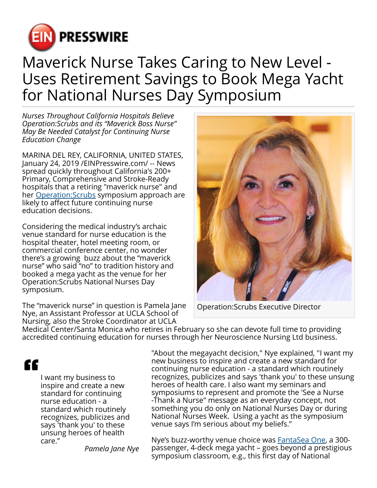

## Maverick Nurse Takes Caring to New Level - Uses Retirement Savings to Book Mega Yacht for National Nurses Day Symposium

*Nurses Throughout California Hospitals Believe Operation:Scrubs and its "Maverick Boss Nurse" May Be Needed Catalyst for Continuing Nurse Education Change*

MARINA DEL REY, CALIFORNIA, UNITED STATES, January 24, 2019 /[EINPresswire.com](http://www.einpresswire.com)/ -- News spread quickly throughout California's 200+ Primary, Comprehensive and Stroke-Ready hospitals that a retiring "maverick nurse" and her Operation: Scrubs symposium approach are likely to affect future continuing nurse education decisions.

Considering the medical industry's archaic venue standard for nurse education is the hospital theater, hotel meeting room, or commercial conference center, no wonder there's a growing buzz about the "maverick nurse" who said "no" to tradition history and booked a mega yacht as the venue for her Operation:Scrubs National Nurses Day symposium.

The "maverick nurse" in question is Pamela Jane Nye, an Assistant Professor at UCLA School of Nursing, also the Stroke Coordinator at UCLA



Operation:Scrubs Executive Director

Medical Center/Santa Monica who retires in February so she can devote full time to providing accredited continuing education for nurses through her Neuroscience Nursing Ltd business.

## "

I want my business to inspire and create a new standard for continuing nurse education - a standard which routinely recognizes, publicizes and says 'thank you' to these unsung heroes of health care."

*Pamela Jane Nye*

"About the megayacht decision," Nye explained, "I want my new business to inspire and create a new standard for continuing nurse education - a standard which routinely recognizes, publicizes and says 'thank you' to these unsung heroes of health care. I also want my seminars and symposiums to represent and promote the 'See a Nurse -Thank a Nurse" message as an everyday concept, not something you do only on National Nurses Day or during National Nurses Week. Using a yacht as the symposium venue says I'm serious about my beliefs."

Nye's buzz-worthy venue choice was [FantaSea One,](https://fantaseayachts.com/yachts/fantasea-one/) a 300 passenger, 4-deck mega yacht – goes beyond a prestigious symposium classroom, e.g., this first day of National